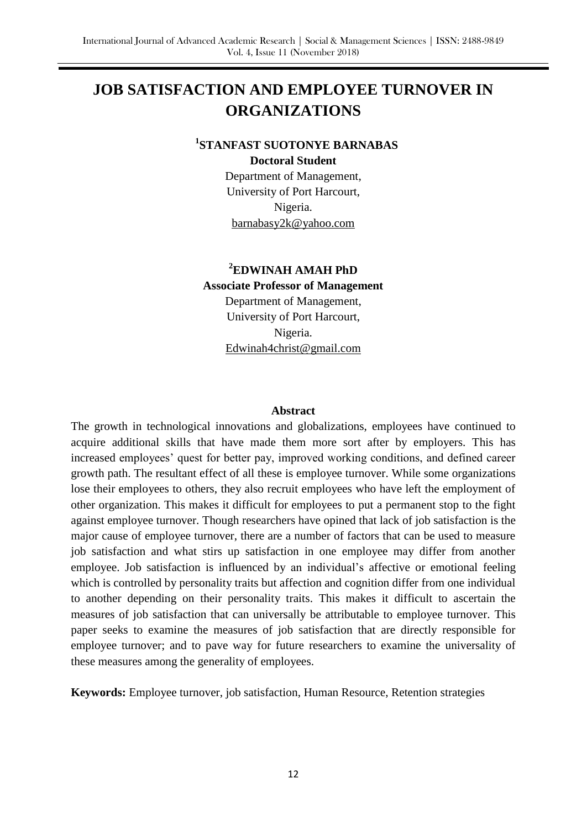# **JOB SATISFACTION AND EMPLOYEE TURNOVER IN ORGANIZATIONS**

## **1 STANFAST SUOTONYE BARNABAS**

**Doctoral Student**

Department of Management, University of Port Harcourt, Nigeria. barnabasy2k@yahoo.com

# **<sup>2</sup>EDWINAH AMAH PhD Associate Professor of Management** Department of Management, University of Port Harcourt, Nigeria.

Edwinah4christ@gmail.com

## **Abstract**

The growth in technological innovations and globalizations, employees have continued to acquire additional skills that have made them more sort after by employers. This has increased employees' quest for better pay, improved working conditions, and defined career growth path. The resultant effect of all these is employee turnover. While some organizations lose their employees to others, they also recruit employees who have left the employment of other organization. This makes it difficult for employees to put a permanent stop to the fight against employee turnover. Though researchers have opined that lack of job satisfaction is the major cause of employee turnover, there are a number of factors that can be used to measure job satisfaction and what stirs up satisfaction in one employee may differ from another employee. Job satisfaction is influenced by an individual's affective or emotional feeling which is controlled by personality traits but affection and cognition differ from one individual to another depending on their personality traits. This makes it difficult to ascertain the measures of job satisfaction that can universally be attributable to employee turnover. This paper seeks to examine the measures of job satisfaction that are directly responsible for employee turnover; and to pave way for future researchers to examine the universality of these measures among the generality of employees.

**Keywords:** Employee turnover, job satisfaction, Human Resource, Retention strategies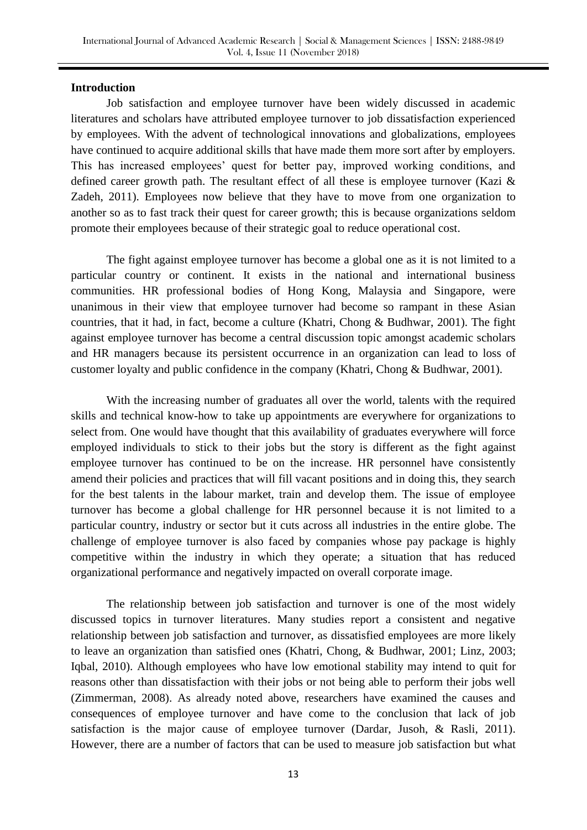## **Introduction**

Job satisfaction and employee turnover have been widely discussed in academic literatures and scholars have attributed employee turnover to job dissatisfaction experienced by employees. With the advent of technological innovations and globalizations, employees have continued to acquire additional skills that have made them more sort after by employers. This has increased employees' quest for better pay, improved working conditions, and defined career growth path. The resultant effect of all these is employee turnover (Kazi & Zadeh, 2011). Employees now believe that they have to move from one organization to another so as to fast track their quest for career growth; this is because organizations seldom promote their employees because of their strategic goal to reduce operational cost.

The fight against employee turnover has become a global one as it is not limited to a particular country or continent. It exists in the national and international business communities. HR professional bodies of Hong Kong, Malaysia and Singapore, were unanimous in their view that employee turnover had become so rampant in these Asian countries, that it had, in fact, become a culture (Khatri, Chong & Budhwar, 2001). The fight against employee turnover has become a central discussion topic amongst academic scholars and HR managers because its persistent occurrence in an organization can lead to loss of customer loyalty and public confidence in the company (Khatri, Chong & Budhwar, 2001).

With the increasing number of graduates all over the world, talents with the required skills and technical know-how to take up appointments are everywhere for organizations to select from. One would have thought that this availability of graduates everywhere will force employed individuals to stick to their jobs but the story is different as the fight against employee turnover has continued to be on the increase. HR personnel have consistently amend their policies and practices that will fill vacant positions and in doing this, they search for the best talents in the labour market, train and develop them. The issue of employee turnover has become a global challenge for HR personnel because it is not limited to a particular country, industry or sector but it cuts across all industries in the entire globe. The challenge of employee turnover is also faced by companies whose pay package is highly competitive within the industry in which they operate; a situation that has reduced organizational performance and negatively impacted on overall corporate image.

The relationship between job satisfaction and turnover is one of the most widely discussed topics in turnover literatures. Many studies report a consistent and negative relationship between job satisfaction and turnover, as dissatisfied employees are more likely to leave an organization than satisfied ones (Khatri, Chong, & Budhwar, 2001; Linz, 2003; [Iqbal,](http://search.proquest.com.ezp.waldenulibrary.org/abicomplete/indexinglinkhandler/sng/author/Iqbal,+Adnan/$N?accountid=14872) 2010). Although employees who have low emotional stability may intend to quit for reasons other than dissatisfaction with their jobs or not being able to perform their jobs well [\(Zimmerman,](http://search.proquest.com.ezp.waldenulibrary.org/abicomplete/indexinglinkhandler/sng/author/Zimmerman,+Ryan+D/$N?accountid=14872) 2008). As already noted above, researchers have examined the causes and consequences of employee turnover and have come to the conclusion that lack of job satisfaction is the major cause of employee turnover (Dardar, Jusoh, & Rasli, 2011). However, there are a number of factors that can be used to measure job satisfaction but what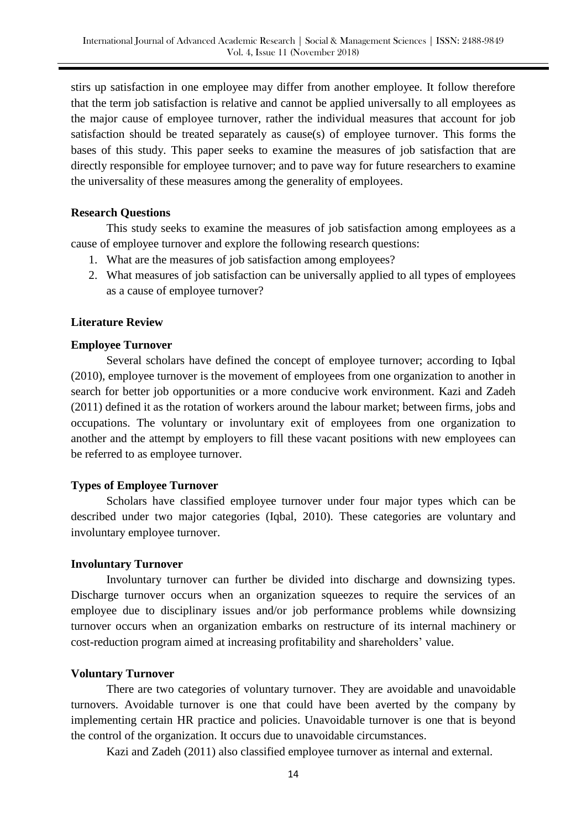stirs up satisfaction in one employee may differ from another employee. It follow therefore that the term job satisfaction is relative and cannot be applied universally to all employees as the major cause of employee turnover, rather the individual measures that account for job satisfaction should be treated separately as cause(s) of employee turnover. This forms the bases of this study. This paper seeks to examine the measures of job satisfaction that are directly responsible for employee turnover; and to pave way for future researchers to examine the universality of these measures among the generality of employees.

## **Research Questions**

This study seeks to examine the measures of job satisfaction among employees as a cause of employee turnover and explore the following research questions:

- 1. What are the measures of job satisfaction among employees?
- 2. What measures of job satisfaction can be universally applied to all types of employees as a cause of employee turnover?

## **Literature Review**

#### **Employee Turnover**

Several scholars have defined the concept of employee turnover; according to Iqbal (2010), employee turnover is the movement of employees from one organization to another in search for better job opportunities or a more conducive work environment. Kazi and Zadeh (2011) defined it as the rotation of workers around the labour market; between firms, jobs and occupations. The voluntary or involuntary exit of employees from one organization to another and the attempt by employers to fill these vacant positions with new employees can be referred to as employee turnover.

#### **Types of Employee Turnover**

Scholars have classified employee turnover under four major types which can be described under two major categories (Iqbal, 2010). These categories are voluntary and involuntary employee turnover.

#### **Involuntary Turnover**

Involuntary turnover can further be divided into discharge and downsizing types. Discharge turnover occurs when an organization squeezes to require the services of an employee due to disciplinary issues and/or job performance problems while downsizing turnover occurs when an organization embarks on restructure of its internal machinery or cost-reduction program aimed at increasing profitability and shareholders' value.

## **Voluntary Turnover**

There are two categories of voluntary turnover. They are avoidable and unavoidable turnovers. Avoidable turnover is one that could have been averted by the company by implementing certain HR practice and policies. Unavoidable turnover is one that is beyond the control of the organization. It occurs due to unavoidable circumstances.

Kazi and Zadeh (2011) also classified employee turnover as internal and external.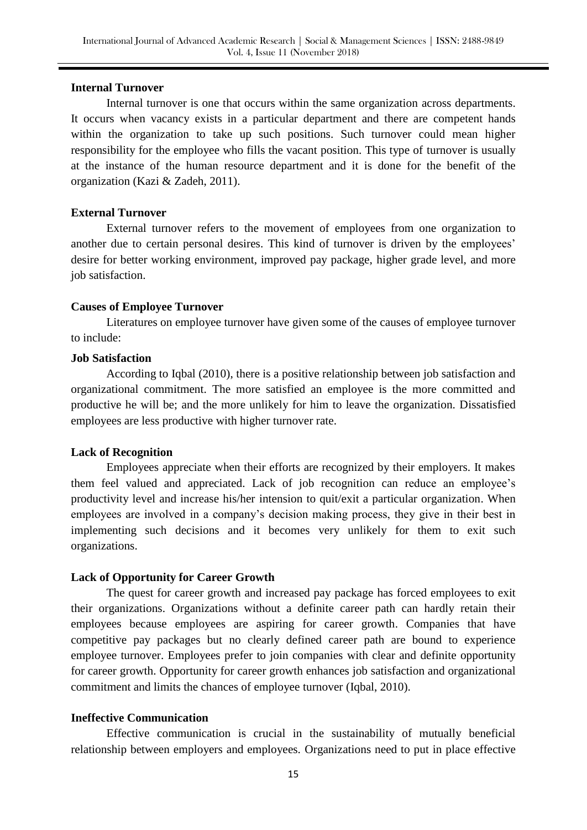## **Internal Turnover**

Internal turnover is one that occurs within the same organization across departments. It occurs when vacancy exists in a particular department and there are competent hands within the organization to take up such positions. Such turnover could mean higher responsibility for the employee who fills the vacant position. This type of turnover is usually at the instance of the human resource department and it is done for the benefit of the organization (Kazi & Zadeh, 2011).

## **External Turnover**

External turnover refers to the movement of employees from one organization to another due to certain personal desires. This kind of turnover is driven by the employees' desire for better working environment, improved pay package, higher grade level, and more job satisfaction.

## **Causes of Employee Turnover**

Literatures on employee turnover have given some of the causes of employee turnover to include:

## **Job Satisfaction**

According to Iqbal (2010), there is a positive relationship between job satisfaction and organizational commitment. The more satisfied an employee is the more committed and productive he will be; and the more unlikely for him to leave the organization. Dissatisfied employees are less productive with higher turnover rate.

## **Lack of Recognition**

Employees appreciate when their efforts are recognized by their employers. It makes them feel valued and appreciated. Lack of job recognition can reduce an employee's productivity level and increase his/her intension to quit/exit a particular organization. When employees are involved in a company's decision making process, they give in their best in implementing such decisions and it becomes very unlikely for them to exit such organizations.

## **Lack of Opportunity for Career Growth**

The quest for career growth and increased pay package has forced employees to exit their organizations. Organizations without a definite career path can hardly retain their employees because employees are aspiring for career growth. Companies that have competitive pay packages but no clearly defined career path are bound to experience employee turnover. Employees prefer to join companies with clear and definite opportunity for career growth. Opportunity for career growth enhances job satisfaction and organizational commitment and limits the chances of employee turnover (Iqbal, 2010).

## **Ineffective Communication**

Effective communication is crucial in the sustainability of mutually beneficial relationship between employers and employees. Organizations need to put in place effective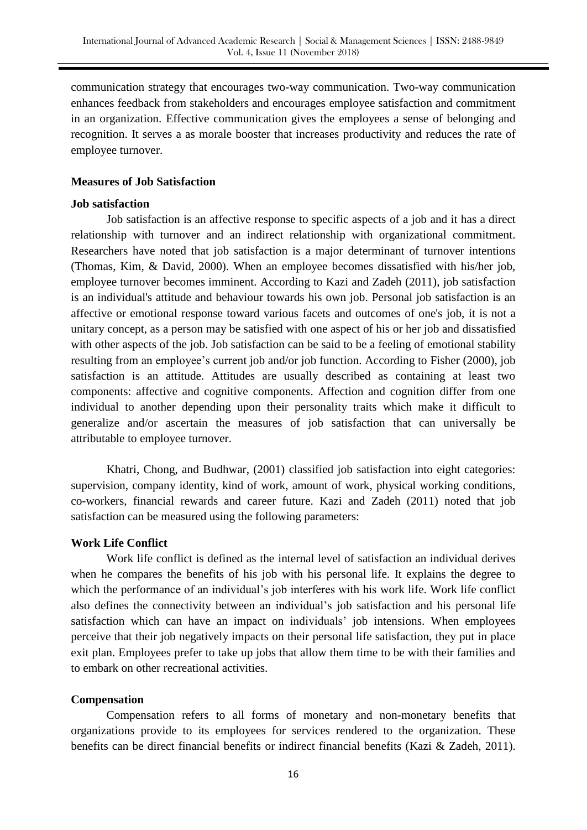communication strategy that encourages two-way communication. Two-way communication enhances feedback from stakeholders and encourages employee satisfaction and commitment in an organization. Effective communication gives the employees a sense of belonging and recognition. It serves a as morale booster that increases productivity and reduces the rate of employee turnover.

## **Measures of Job Satisfaction**

## **Job satisfaction**

Job satisfaction is an affective response to specific aspects of a job and it has a direct relationship with turnover and an indirect relationship with organizational commitment. Researchers have noted that job satisfaction is a major determinant of turnover intentions (Thomas, Kim, & David, 2000). When an employee becomes dissatisfied with his/her job, employee turnover becomes imminent. According to Kazi and Zadeh (2011), job satisfaction is an individual's attitude and behaviour towards his own job. Personal job satisfaction is an affective or emotional response toward various facets and outcomes of one's job, it is not a unitary concept, as a person may be satisfied with one aspect of his or her job and dissatisfied with other aspects of the job. Job satisfaction can be said to be a feeling of emotional stability resulting from an employee's current job and/or job function. According to Fisher (2000), job satisfaction is an attitude. Attitudes are usually described as containing at least two components: affective and cognitive components. Affection and cognition differ from one individual to another depending upon their personality traits which make it difficult to generalize and/or ascertain the measures of job satisfaction that can universally be attributable to employee turnover.

Khatri, Chong, and Budhwar, (2001) classified job satisfaction into eight categories: supervision, company identity, kind of work, amount of work, physical working conditions, co-workers, financial rewards and career future. Kazi and Zadeh (2011) noted that job satisfaction can be measured using the following parameters:

## **Work Life Conflict**

Work life conflict is defined as the internal level of satisfaction an individual derives when he compares the benefits of his job with his personal life. It explains the degree to which the performance of an individual's job interferes with his work life. Work life conflict also defines the connectivity between an individual's job satisfaction and his personal life satisfaction which can have an impact on individuals' job intensions. When employees perceive that their job negatively impacts on their personal life satisfaction, they put in place exit plan. Employees prefer to take up jobs that allow them time to be with their families and to embark on other recreational activities.

## **Compensation**

Compensation refers to all forms of monetary and non-monetary benefits that organizations provide to its employees for services rendered to the organization. These benefits can be direct financial benefits or indirect financial benefits (Kazi & Zadeh, 2011).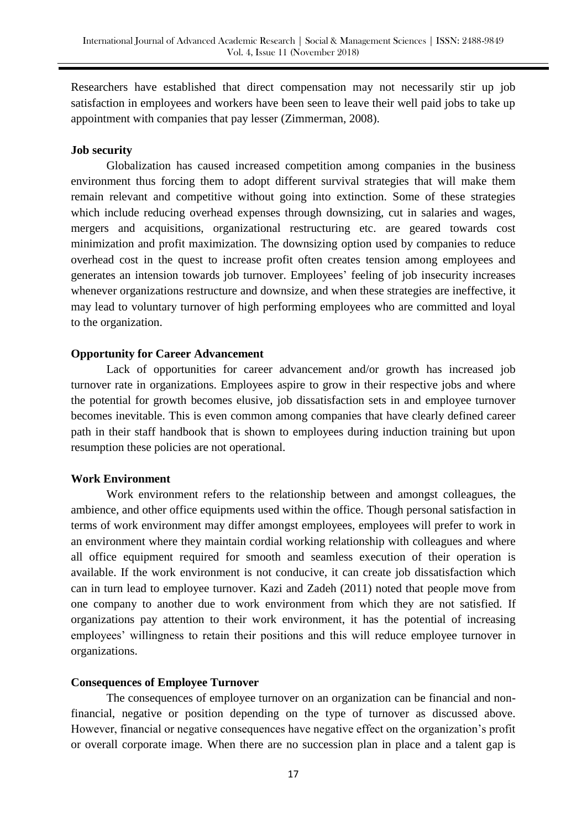Researchers have established that direct compensation may not necessarily stir up job satisfaction in employees and workers have been seen to leave their well paid jobs to take up appointment with companies that pay lesser [\(Zimmerman, 2](http://search.proquest.com.ezp.waldenulibrary.org/abicomplete/indexinglinkhandler/sng/author/Zimmerman,+Ryan+D/$N?accountid=14872)008).

## **Job security**

Globalization has caused increased competition among companies in the business environment thus forcing them to adopt different survival strategies that will make them remain relevant and competitive without going into extinction. Some of these strategies which include reducing overhead expenses through downsizing, cut in salaries and wages, mergers and acquisitions, organizational restructuring etc. are geared towards cost minimization and profit maximization. The downsizing option used by companies to reduce overhead cost in the quest to increase profit often creates tension among employees and generates an intension towards job turnover. Employees' feeling of job insecurity increases whenever organizations restructure and downsize, and when these strategies are ineffective, it may lead to voluntary turnover of high performing employees who are committed and loyal to the organization.

#### **Opportunity for Career Advancement**

Lack of opportunities for career advancement and/or growth has increased job turnover rate in organizations. Employees aspire to grow in their respective jobs and where the potential for growth becomes elusive, job dissatisfaction sets in and employee turnover becomes inevitable. This is even common among companies that have clearly defined career path in their staff handbook that is shown to employees during induction training but upon resumption these policies are not operational.

#### **Work Environment**

Work environment refers to the relationship between and amongst colleagues, the ambience, and other office equipments used within the office. Though personal satisfaction in terms of work environment may differ amongst employees, employees will prefer to work in an environment where they maintain cordial working relationship with colleagues and where all office equipment required for smooth and seamless execution of their operation is available. If the work environment is not conducive, it can create job dissatisfaction which can in turn lead to employee turnover. Kazi and Zadeh (2011) noted that people move from one company to another due to work environment from which they are not satisfied. If organizations pay attention to their work environment, it has the potential of increasing employees' willingness to retain their positions and this will reduce employee turnover in organizations.

#### **Consequences of Employee Turnover**

The consequences of employee turnover on an organization can be financial and nonfinancial, negative or position depending on the type of turnover as discussed above. However, financial or negative consequences have negative effect on the organization's profit or overall corporate image. When there are no succession plan in place and a talent gap is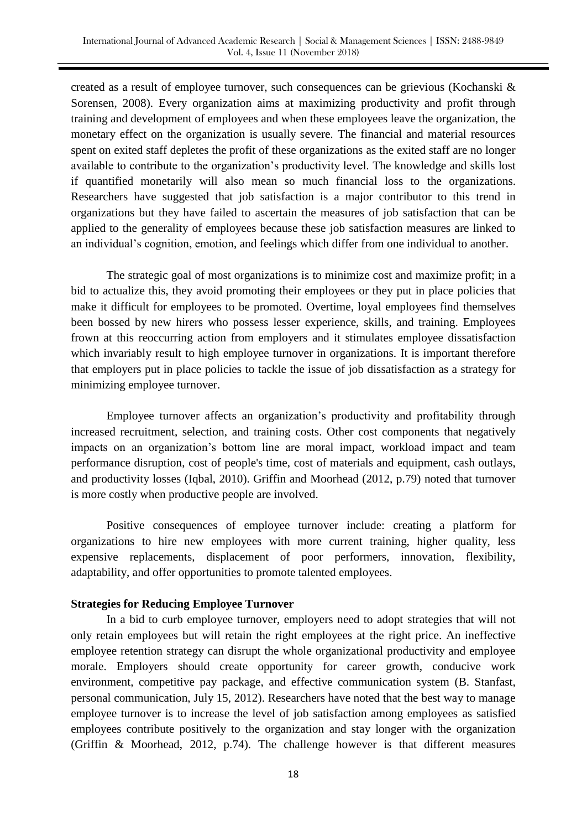created as a result of employee turnover, such consequences can be grievious (Kochanski & Sorensen, 2008). Every organization aims at maximizing productivity and profit through training and development of employees and when these employees leave the organization, the monetary effect on the organization is usually severe. The financial and material resources spent on exited staff depletes the profit of these organizations as the exited staff are no longer available to contribute to the organization's productivity level. The knowledge and skills lost if quantified monetarily will also mean so much financial loss to the organizations. Researchers have suggested that job satisfaction is a major contributor to this trend in organizations but they have failed to ascertain the measures of job satisfaction that can be applied to the generality of employees because these job satisfaction measures are linked to an individual's cognition, emotion, and feelings which differ from one individual to another.

The strategic goal of most organizations is to minimize cost and maximize profit; in a bid to actualize this, they avoid promoting their employees or they put in place policies that make it difficult for employees to be promoted. Overtime, loyal employees find themselves been bossed by new hirers who possess lesser experience, skills, and training. Employees frown at this reoccurring action from employers and it stimulates employee dissatisfaction which invariably result to high employee turnover in organizations. It is important therefore that employers put in place policies to tackle the issue of job dissatisfaction as a strategy for minimizing employee turnover.

Employee turnover affects an organization's productivity and profitability through increased recruitment, selection, and training costs. Other cost components that negatively impacts on an organization's bottom line are moral impact, workload impact and team performance disruption, cost of people's time, cost of materials and equipment, cash outlays, and productivity losses (Iqbal, 2010). Griffin and Moorhead (2012, p.79) noted that turnover is more costly when productive people are involved.

Positive consequences of employee turnover include: creating a platform for organizations to hire new employees with more current training, higher quality, less expensive replacements, displacement of poor performers, innovation, flexibility, adaptability, and offer opportunities to promote talented employees.

## **Strategies for Reducing Employee Turnover**

In a bid to curb employee turnover, employers need to adopt strategies that will not only retain employees but will retain the right employees at the right price. An ineffective employee retention strategy can disrupt the whole organizational productivity and employee morale. Employers should create opportunity for career growth, conducive work environment, competitive pay package, and effective communication system (B. Stanfast, personal communication, July 15, 2012). Researchers have noted that the best way to manage employee turnover is to increase the level of job satisfaction among employees as satisfied employees contribute positively to the organization and stay longer with the organization (Griffin & Moorhead, 2012, p.74). The challenge however is that different measures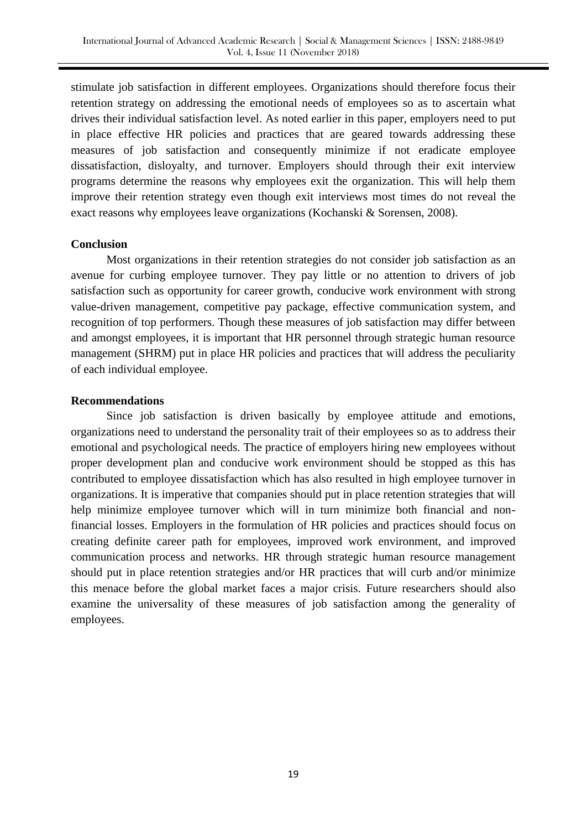stimulate job satisfaction in different employees. Organizations should therefore focus their retention strategy on addressing the emotional needs of employees so as to ascertain what drives their individual satisfaction level. As noted earlier in this paper, employers need to put in place effective HR policies and practices that are geared towards addressing these measures of job satisfaction and consequently minimize if not eradicate employee dissatisfaction, disloyalty, and turnover. Employers should through their exit interview programs determine the reasons why employees exit the organization. This will help them improve their retention strategy even though exit interviews most times do not reveal the exact reasons why employees leave organizations (Kochanski & Sorensen, 2008).

## **Conclusion**

Most organizations in their retention strategies do not consider job satisfaction as an avenue for curbing employee turnover. They pay little or no attention to drivers of job satisfaction such as opportunity for career growth, conducive work environment with strong value-driven management, competitive pay package, effective communication system, and recognition of top performers. Though these measures of job satisfaction may differ between and amongst employees, it is important that HR personnel through strategic human resource management (SHRM) put in place HR policies and practices that will address the peculiarity of each individual employee.

## **Recommendations**

Since job satisfaction is driven basically by employee attitude and emotions, organizations need to understand the personality trait of their employees so as to address their emotional and psychological needs. The practice of employers hiring new employees without proper development plan and conducive work environment should be stopped as this has contributed to employee dissatisfaction which has also resulted in high employee turnover in organizations. It is imperative that companies should put in place retention strategies that will help minimize employee turnover which will in turn minimize both financial and nonfinancial losses. Employers in the formulation of HR policies and practices should focus on creating definite career path for employees, improved work environment, and improved communication process and networks. HR through strategic human resource management should put in place retention strategies and/or HR practices that will curb and/or minimize this menace before the global market faces a major crisis. Future researchers should also examine the universality of these measures of job satisfaction among the generality of employees.